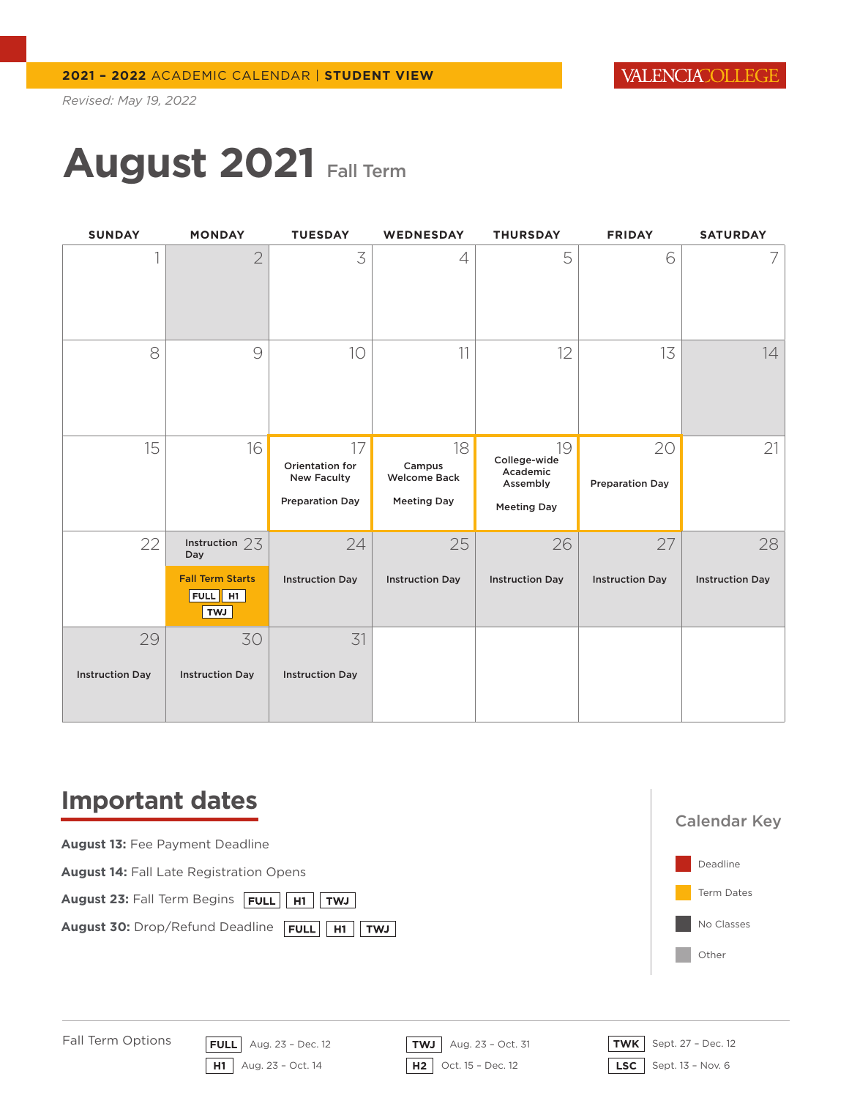# **August 2021** Fall Term

| <b>SUNDAY</b>          | <b>MONDAY</b>                                    | <b>TUESDAY</b>                                                        | <b>WEDNESDAY</b>                                          | <b>THURSDAY</b>                                                  | <b>FRIDAY</b>                | <b>SATURDAY</b>        |
|------------------------|--------------------------------------------------|-----------------------------------------------------------------------|-----------------------------------------------------------|------------------------------------------------------------------|------------------------------|------------------------|
|                        | $\overline{2}$                                   | 3                                                                     | 4                                                         | 5                                                                | 6                            |                        |
| 8                      | $\Theta$                                         | 10                                                                    | 11                                                        | 12                                                               | 13                           | 14                     |
| 15                     | 16                                               | 17<br>Orientation for<br><b>New Faculty</b><br><b>Preparation Day</b> | 18<br>Campus<br><b>Welcome Back</b><br><b>Meeting Day</b> | 19<br>College-wide<br>Academic<br>Assembly<br><b>Meeting Day</b> | 20<br><b>Preparation Day</b> | 21                     |
| 22                     | Instruction $23$<br>Day                          | 24                                                                    | 25                                                        | 26                                                               | 27                           | 28                     |
|                        | <b>Fall Term Starts</b><br>FULL H1<br><b>LWT</b> | <b>Instruction Day</b>                                                | <b>Instruction Day</b>                                    | <b>Instruction Day</b>                                           | <b>Instruction Day</b>       | <b>Instruction Day</b> |
| 29                     | 30                                               | 31                                                                    |                                                           |                                                                  |                              |                        |
| <b>Instruction Day</b> | <b>Instruction Day</b>                           | <b>Instruction Day</b>                                                |                                                           |                                                                  |                              |                        |

### **Important dates**



Fall Term Options

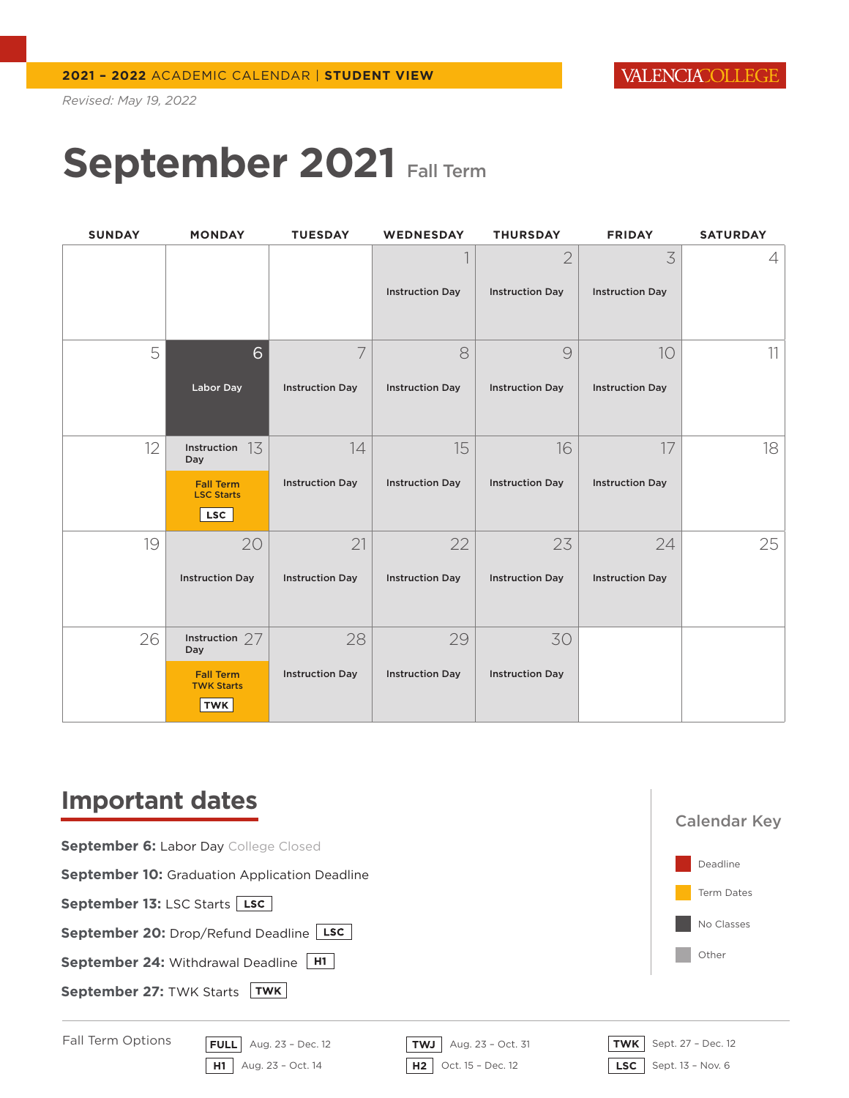### September 2021 September 2021 Fall Term

| <b>SUNDAY</b> | <b>MONDAY</b>                                       | <b>TUESDAY</b>         | WEDNESDAY              | <b>THURSDAY</b>        | <b>FRIDAY</b>          | <b>SATURDAY</b> |
|---------------|-----------------------------------------------------|------------------------|------------------------|------------------------|------------------------|-----------------|
|               |                                                     |                        |                        | $\overline{2}$         | 3                      | 4               |
|               |                                                     |                        | <b>Instruction Day</b> | <b>Instruction Day</b> | <b>Instruction Day</b> |                 |
|               |                                                     |                        |                        |                        |                        |                 |
| 5             | 6                                                   | 7                      | 8                      | $\circledcirc$         | 10                     | 11              |
|               | Labor Day                                           | <b>Instruction Day</b> | <b>Instruction Day</b> | <b>Instruction Day</b> | <b>Instruction Day</b> |                 |
| 12            | Instruction $13$<br>Day                             | 14                     | 15                     | 16                     | 17                     | 18              |
|               | <b>Fall Term</b><br><b>LSC Starts</b><br>LSC        | <b>Instruction Day</b> | <b>Instruction Day</b> | <b>Instruction Day</b> | <b>Instruction Day</b> |                 |
| 19            | 20                                                  | 21                     | 22                     | 23                     | 24                     | 25              |
|               | <b>Instruction Day</b>                              | <b>Instruction Day</b> | <b>Instruction Day</b> | <b>Instruction Day</b> | <b>Instruction Day</b> |                 |
| 26            | Instruction $27$<br>Day                             | 28                     | 29                     | 30                     |                        |                 |
|               | <b>Fall Term</b><br><b>TWK Starts</b><br><b>TWK</b> | <b>Instruction Day</b> | <b>Instruction Day</b> | <b>Instruction Day</b> |                        |                 |

### **Important dates**

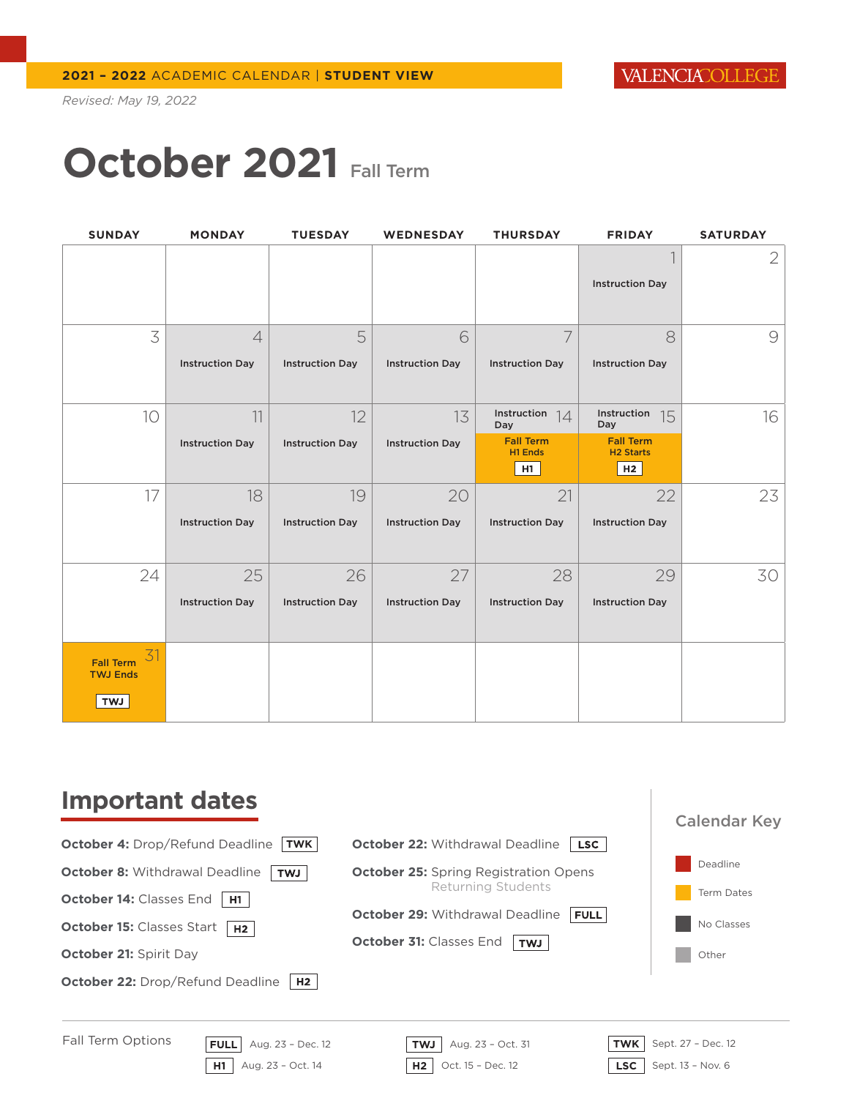# **October 2021** Fall Term

| <b>SUNDAY</b>                             | <b>MONDAY</b>          | <b>TUESDAY</b>         | <b>WEDNESDAY</b>       | <b>THURSDAY</b>             | <b>FRIDAY</b>                        | <b>SATURDAY</b> |
|-------------------------------------------|------------------------|------------------------|------------------------|-----------------------------|--------------------------------------|-----------------|
|                                           |                        |                        |                        |                             |                                      | 2               |
|                                           |                        |                        |                        |                             | <b>Instruction Day</b>               |                 |
| 3                                         | $\overline{4}$         | 5                      | 6                      | 7                           | 8                                    | $\Theta$        |
|                                           | <b>Instruction Day</b> | <b>Instruction Day</b> | <b>Instruction Day</b> | <b>Instruction Day</b>      | <b>Instruction Day</b>               |                 |
| 10                                        | 11                     | 12                     | 13                     | Instruction<br>14<br>Day    | Instruction<br>15<br>Day             | 16              |
|                                           | <b>Instruction Day</b> | <b>Instruction Day</b> | <b>Instruction Day</b> | <b>Fall Term</b><br>H1 Ends | <b>Fall Term</b><br><b>H2 Starts</b> |                 |
|                                           |                        |                        |                        | H <sub>1</sub>              | H2                                   |                 |
| 17                                        | 18                     | 19                     | 20                     | 21                          | 22                                   | 23              |
|                                           | <b>Instruction Day</b> | <b>Instruction Day</b> | <b>Instruction Day</b> | <b>Instruction Day</b>      | <b>Instruction Day</b>               |                 |
| 24                                        | 25                     | 26                     | 27                     | 28                          | 29                                   | 30              |
|                                           | <b>Instruction Day</b> | <b>Instruction Day</b> | <b>Instruction Day</b> | <b>Instruction Day</b>      | <b>Instruction Day</b>               |                 |
| 31<br><b>Fall Term</b><br><b>TWJ Ends</b> |                        |                        |                        |                             |                                      |                 |
| <b>TWJ</b>                                |                        |                        |                        |                             |                                      |                 |

### **Important dates**

**October 4:** Drop/Refund Deadline **TWK**

**October 8: Withdrawal Deadline TwJ** 

**October 14: Classes End H1** 

**October 15: Classes Start H2** 

**October 21:** Spirit Day

**October 22: Drop/Refund Deadline | H2 |** 

| <b>October 22: Withdrawal Deadline</b><br><b>LSC</b>  |                   |
|-------------------------------------------------------|-------------------|
| <b>October 25:</b> Spring Registration Opens          | Deadline          |
| Returning Students                                    | <b>Term Dates</b> |
| <b>October 29: Withdrawal Deadline</b><br><b>FULL</b> | No Classes        |
| <b>October 31: Classes End</b><br><b>TWJ</b>          | Other             |





Calendar Key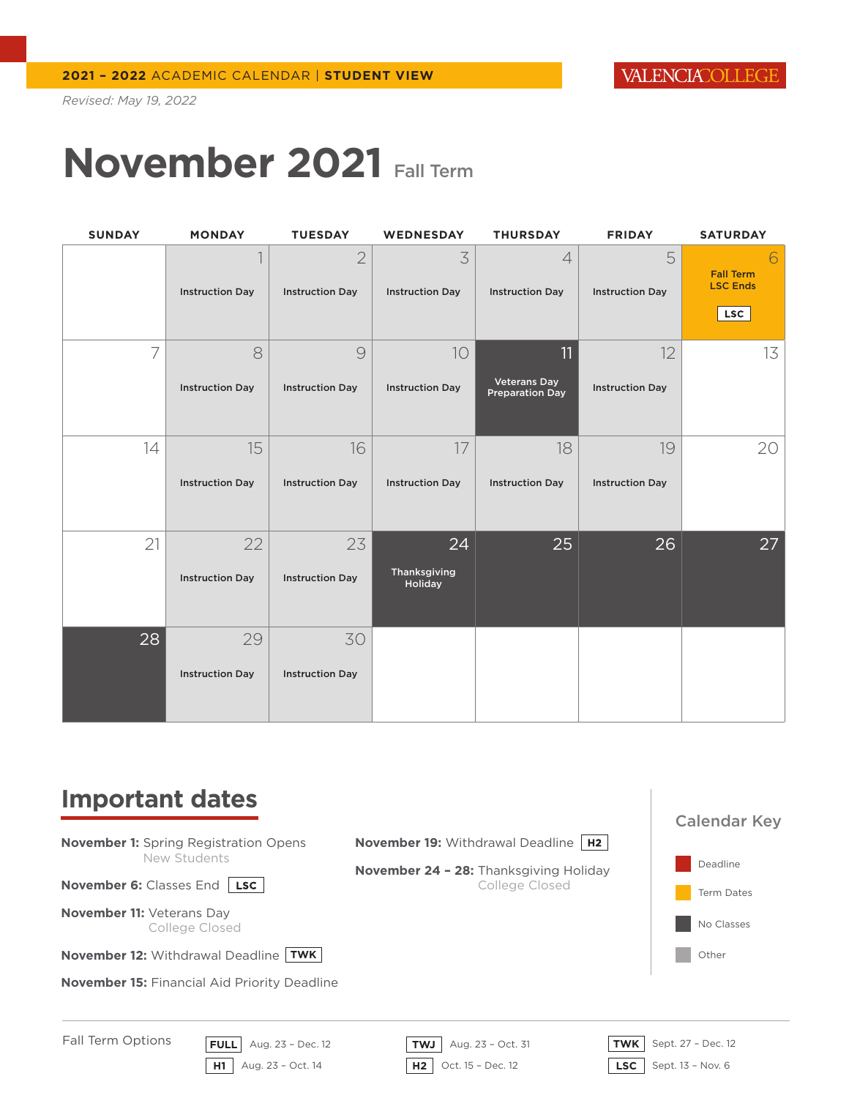# **November 2021** Fall Term

| <b>SUNDAY</b> | <b>MONDAY</b>          | <b>TUESDAY</b>                           | <b>WEDNESDAY</b>            | <b>THURSDAY</b>                               | <b>FRIDAY</b>               | <b>SATURDAY</b>                                   |
|---------------|------------------------|------------------------------------------|-----------------------------|-----------------------------------------------|-----------------------------|---------------------------------------------------|
|               | <b>Instruction Day</b> | $\overline{2}$<br><b>Instruction Day</b> | 3<br><b>Instruction Day</b> | $\overline{4}$<br><b>Instruction Day</b>      | 5<br><b>Instruction Day</b> | <b>Fall Term</b><br><b>LSC Ends</b><br><b>LSC</b> |
| 7             | 8                      | $\mathcal{Q}$                            | 10                          | 11                                            | 12                          | 13                                                |
|               | <b>Instruction Day</b> | <b>Instruction Day</b>                   | <b>Instruction Day</b>      | <b>Veterans Day</b><br><b>Preparation Day</b> | <b>Instruction Day</b>      |                                                   |
| 14            | 15                     | 16                                       | 17                          | 18                                            | 19                          | 20                                                |
|               | <b>Instruction Day</b> | <b>Instruction Day</b>                   | <b>Instruction Day</b>      | <b>Instruction Day</b>                        | <b>Instruction Day</b>      |                                                   |
| 21            | 22                     | 23                                       | 24                          | 25                                            | 26                          | 27                                                |
|               | <b>Instruction Day</b> | <b>Instruction Day</b>                   | Thanksgiving<br>Holiday     |                                               |                             |                                                   |
| 28            | 29                     | 30                                       |                             |                                               |                             |                                                   |
|               | <b>Instruction Day</b> | <b>Instruction Day</b>                   |                             |                                               |                             |                                                   |

#### **Important dates**

Deadline Term Dates No Classes Other Calendar Key **FULL** Aug. 23 – Dec. 12 **TWJ** Aug. 23 – Oct. 31 **TWK** Sept. 27 – Dec. 12 Fall Term Options **November 1:** Spring Registration Opens New Students **November 6:** Classes End LSC **November 11:** Veterans Day College Closed **November 12: Withdrawal Deadline TWK November 15:** Financial Aid Priority Deadline **November 19:** Withdrawal Deadline | H2 | **November 24 – 28:** Thanksgiving Holiday College Closed

**H1** Aug. 23 – Oct. 14 **H2** Oct. 15 – Dec. 12 **LSC** Sept. 13 – Nov. 6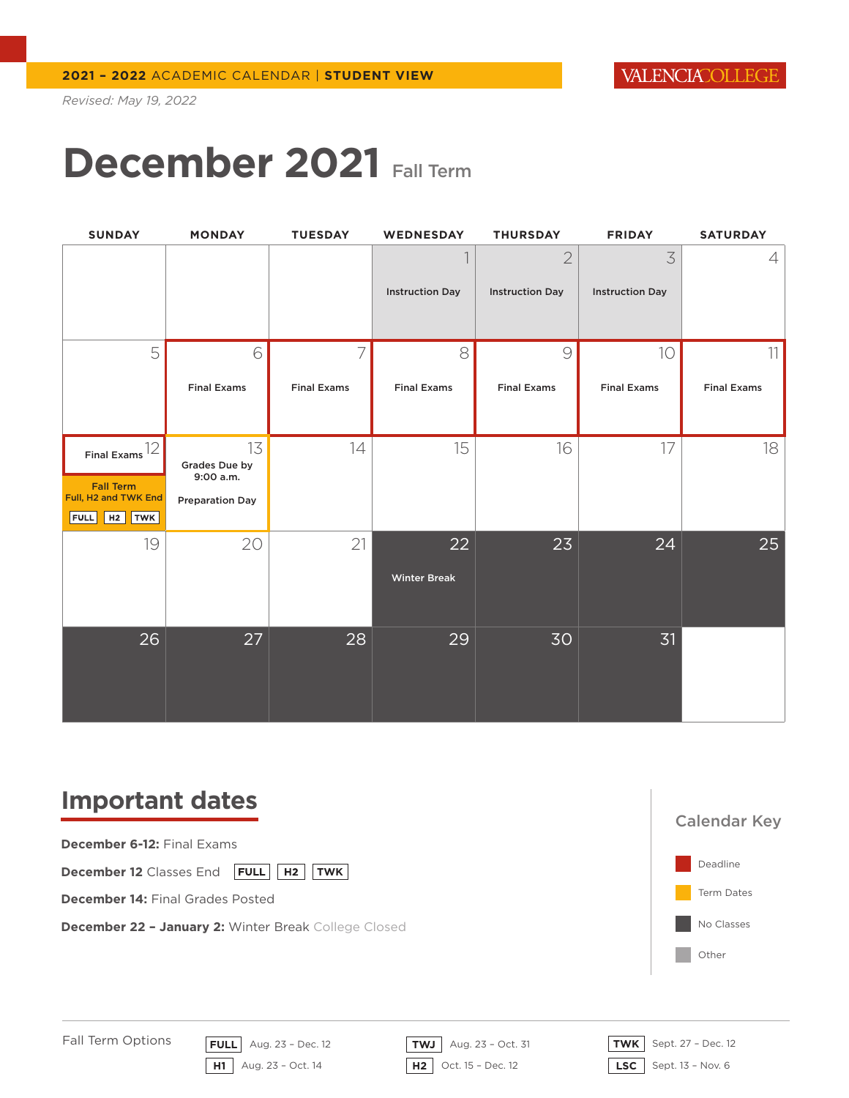### **December 2021** Fall Term

| <b>SUNDAY</b>                                                                           | <b>MONDAY</b>                                              | <b>TUESDAY</b>          | WEDNESDAY                 | <b>THURSDAY</b>                          | <b>FRIDAY</b>               | <b>SATURDAY</b>          |
|-----------------------------------------------------------------------------------------|------------------------------------------------------------|-------------------------|---------------------------|------------------------------------------|-----------------------------|--------------------------|
|                                                                                         |                                                            |                         | <b>Instruction Day</b>    | $\overline{2}$<br><b>Instruction Day</b> | 3<br><b>Instruction Day</b> | 4                        |
| 5                                                                                       | 6<br><b>Final Exams</b>                                    | 7<br><b>Final Exams</b> | 8<br><b>Final Exams</b>   | $\mathcal{Q}$<br><b>Final Exams</b>      | 10<br><b>Final Exams</b>    | 11<br><b>Final Exams</b> |
| Final Exams $12$<br><b>Fall Term</b><br>Full, H2 and TWK End<br><b>FULL</b><br>$H2$ TWK | 13<br>Grades Due by<br>9:00 a.m.<br><b>Preparation Day</b> | 14                      | 15                        | 16                                       | 17                          | 18                       |
| 19                                                                                      | 20                                                         | 21                      | 22<br><b>Winter Break</b> | 23                                       | 24                          | 25                       |
| 26                                                                                      | 27                                                         | 28                      | 29                        | 30                                       | 31                          |                          |

#### **Important dates**



**December 12** Classes End **FULL** | H2 | TWK

**December 14:** Final Grades Posted

**December 22 – January 2:** Winter Break College Closed



Fall Term Options

**FULL** Aug. 23 – Dec. 12 **TWJ** Aug. 23 – Oct. 31 **TWK** Sept. 27 – Dec. 12 **H1** Aug. 23 – Oct. 14 **H2** Oct. 15 – Dec. 12 **LSC** Sept. 13 – Nov. 6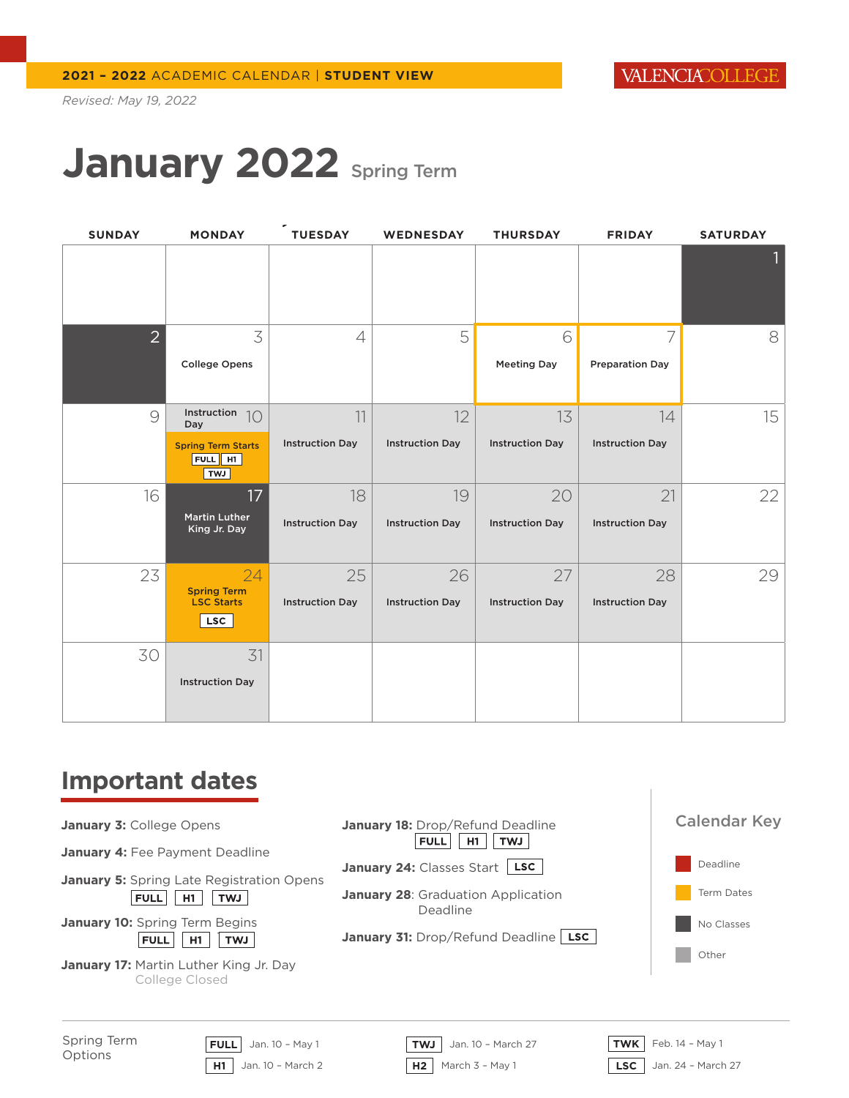### January 2022 Spring Term

| <b>SUNDAY</b>  | <b>MONDAY</b>                               | <b>TUESDAY</b>         | <b>WEDNESDAY</b>       | <b>THURSDAY</b>        | <b>FRIDAY</b>          | <b>SATURDAY</b> |
|----------------|---------------------------------------------|------------------------|------------------------|------------------------|------------------------|-----------------|
|                |                                             |                        |                        |                        |                        |                 |
| $\overline{2}$ | 3                                           | $\overline{4}$         | 5                      | 6                      | 7                      | 8               |
|                | <b>College Opens</b>                        |                        |                        | <b>Meeting Day</b>     | <b>Preparation Day</b> |                 |
| $\mathcal{Q}$  | Instruction<br>10<br>Day                    | 11                     | 12                     | 13                     | 14                     | 15              |
|                | <b>Spring Term Starts</b><br>FULL HI<br>TWJ | <b>Instruction Day</b> | <b>Instruction Day</b> | <b>Instruction Day</b> | <b>Instruction Day</b> |                 |
| 16             | 17 <sup>2</sup>                             | 18                     | 19                     | 20                     | 21                     | 22              |
|                | <b>Martin Luther</b><br>King Jr. Day        | <b>Instruction Day</b> | <b>Instruction Day</b> | <b>Instruction Day</b> | <b>Instruction Day</b> |                 |
| 23             | 24<br><b>Spring Term</b>                    | 25                     | 26                     | 27                     | 28                     | 29              |
|                | <b>LSC Starts</b><br><b>LSC</b>             | <b>Instruction Day</b> | <b>Instruction Day</b> | <b>Instruction Day</b> | <b>Instruction Day</b> |                 |
| 30             | 31                                          |                        |                        |                        |                        |                 |
|                | <b>Instruction Day</b>                      |                        |                        |                        |                        |                 |

#### **Important dates**

| January 3: College Opens |  |  |  |  |
|--------------------------|--|--|--|--|
|--------------------------|--|--|--|--|

January 4: Fee Payment Deadline

**January 5:** Spring Late Registration Opens  $FULL$   $H1$   $TWI$ 

**January 10: Spring Term Begins** FULL H1 TWJ

**January 17:** Martin Luther King Jr. Day College Closed



Spring Term Options

**H1** Jan. 10 – March 2 **H2** March 3 – May 1 **LSC** Jan. 24 – March 27

**FULL** Jan. 10 – May 1 **TWJ** Jan. 10 – March 27 **TWK** Feb. 14 – May 1

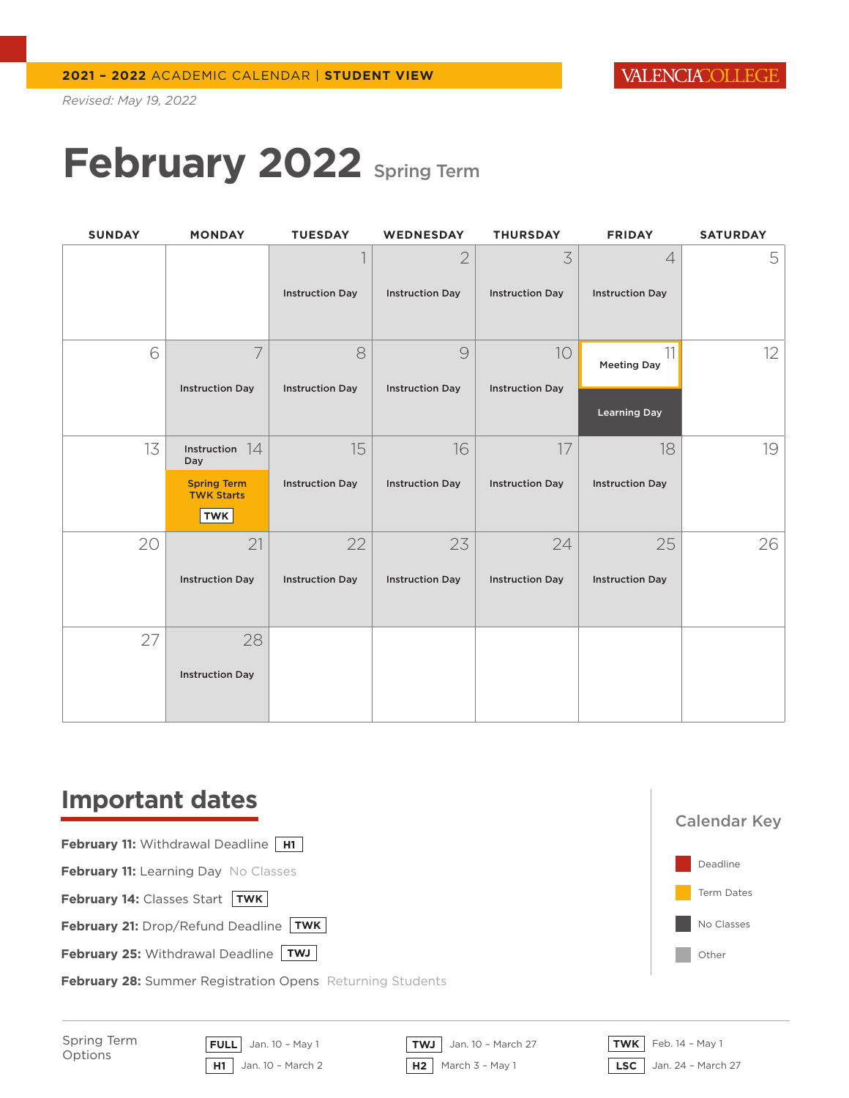### **February 2022** Spring Term

| <b>SUNDAY</b> | <b>MONDAY</b>                                         | <b>TUESDAY</b>         | <b>WEDNESDAY</b>       | <b>THURSDAY</b>        | <b>FRIDAY</b>            | <b>SATURDAY</b> |
|---------------|-------------------------------------------------------|------------------------|------------------------|------------------------|--------------------------|-----------------|
|               |                                                       |                        | $\overline{2}$         | 3                      | $\overline{4}$           | 5               |
|               |                                                       | <b>Instruction Day</b> | <b>Instruction Day</b> | <b>Instruction Day</b> | <b>Instruction Day</b>   |                 |
| 6             | $\overline{7}$                                        | 8                      | 9                      | 10                     | 11<br><b>Meeting Day</b> | 12              |
|               | <b>Instruction Day</b>                                | <b>Instruction Day</b> | <b>Instruction Day</b> | <b>Instruction Day</b> | <b>Learning Day</b>      |                 |
| 13            | Instruction $14$<br>Day                               | 15                     | 16                     | 17                     | 18                       | 19              |
|               | <b>Spring Term</b><br><b>TWK Starts</b><br><b>TWK</b> | <b>Instruction Day</b> | <b>Instruction Day</b> | <b>Instruction Day</b> | <b>Instruction Day</b>   |                 |
| 20            | 21                                                    | 22                     | 23                     | 24                     | 25                       | 26              |
|               | <b>Instruction Day</b>                                | <b>Instruction Day</b> | <b>Instruction Day</b> | <b>Instruction Day</b> | <b>Instruction Day</b>   |                 |
| 27            | 28                                                    |                        |                        |                        |                          |                 |
|               | <b>Instruction Day</b>                                |                        |                        |                        |                          |                 |

### **Important dates**

**February 11: Withdrawal Deadline H1** 

**February 11: Learning Day No Classes** 

**February 14: Classes Start TWK** 

**February 21:** Drop/Refund Deadline TWK **TWK**

**February 25: Withdrawal Deadline TWJ** 

**February 28:** Summer Registration Opens Returning Students



Spring Term Options

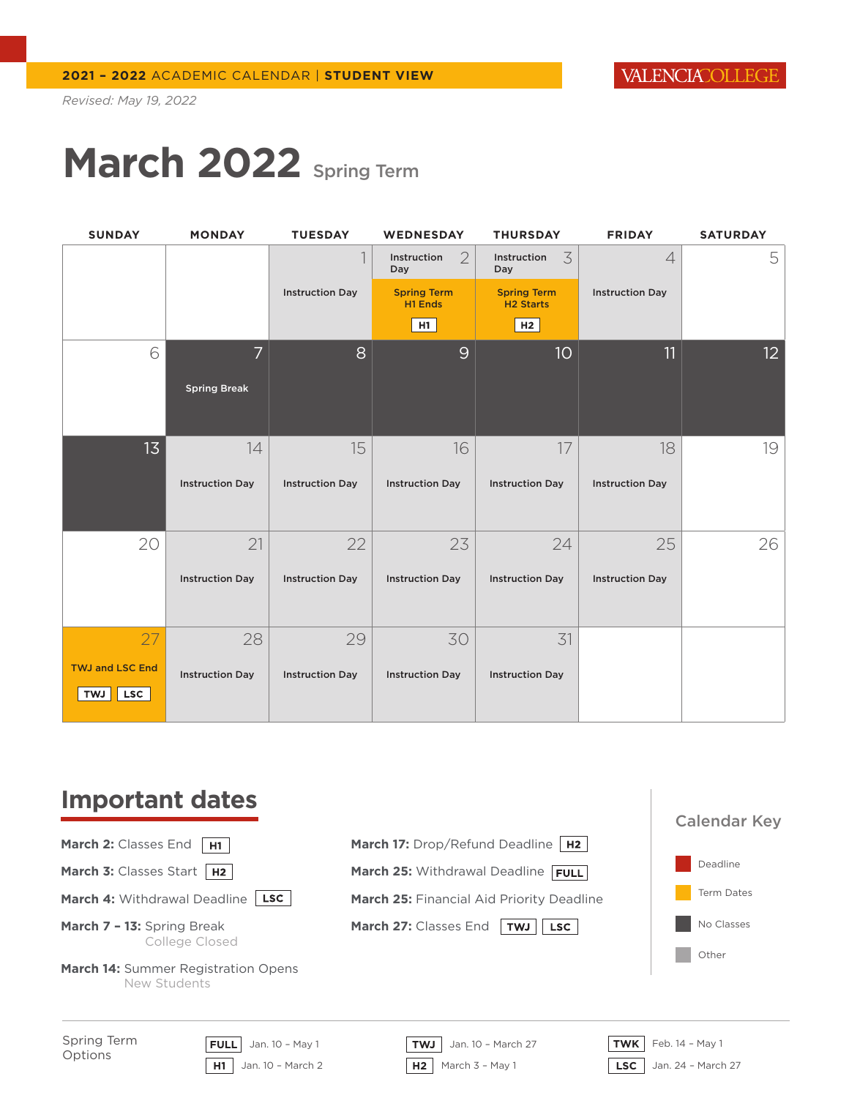# **March 2022** Spring Term

| <b>SUNDAY</b>                                      | <b>MONDAY</b>          | <b>TUESDAY</b>         | <b>WEDNESDAY</b>                     | <b>THURSDAY</b>                        | <b>FRIDAY</b>            | <b>SATURDAY</b> |
|----------------------------------------------------|------------------------|------------------------|--------------------------------------|----------------------------------------|--------------------------|-----------------|
|                                                    |                        |                        | $\overline{2}$<br>Instruction<br>Day | 3<br>Instruction<br>Day                | $\overline{\mathcal{A}}$ | 5               |
|                                                    |                        | <b>Instruction Day</b> | <b>Spring Term</b><br>H1 Ends        | <b>Spring Term</b><br><b>H2 Starts</b> | <b>Instruction Day</b>   |                 |
|                                                    |                        |                        | H1                                   | H2                                     |                          |                 |
| 6                                                  | $\overline{7}$         | 8                      | 9                                    | 10 <sup>°</sup>                        | 11                       | 12 <sup>2</sup> |
|                                                    | <b>Spring Break</b>    |                        |                                      |                                        |                          |                 |
| 13                                                 | 14                     | 15                     | 16                                   | 17                                     | 18                       | 19              |
|                                                    | <b>Instruction Day</b> | <b>Instruction Day</b> | <b>Instruction Day</b>               | <b>Instruction Day</b>                 | <b>Instruction Day</b>   |                 |
| 20                                                 | 21                     | 22                     | 23                                   | 24                                     | 25                       | 26              |
|                                                    | <b>Instruction Day</b> | <b>Instruction Day</b> | <b>Instruction Day</b>               | <b>Instruction Day</b>                 | <b>Instruction Day</b>   |                 |
| 27                                                 | 28                     | 29                     | 30                                   | 31                                     |                          |                 |
| <b>TWJ and LSC End</b><br><b>LSC</b><br><b>TWJ</b> | <b>Instruction Day</b> | <b>Instruction Day</b> | <b>Instruction Day</b>               | <b>Instruction Day</b>                 |                          |                 |

### **Important dates**

**March 2: Classes End H1** 

**March 3: Classes Start H2** 

**March 4: Withdrawal Deadline [LSC]** 

- **March 7 13:** Spring Break College Closed
- **March 14:** Summer Registration Opens New Students



Spring Term Options

**H1** Jan. 10 – March 2 **H2** March 3 – May 1 **LSC** Jan. 24 – March 27

**FULL** Jan. 10 – May 1 **TWJ** Jan. 10 – March 27 **TWK** Feb. 14 – May 1

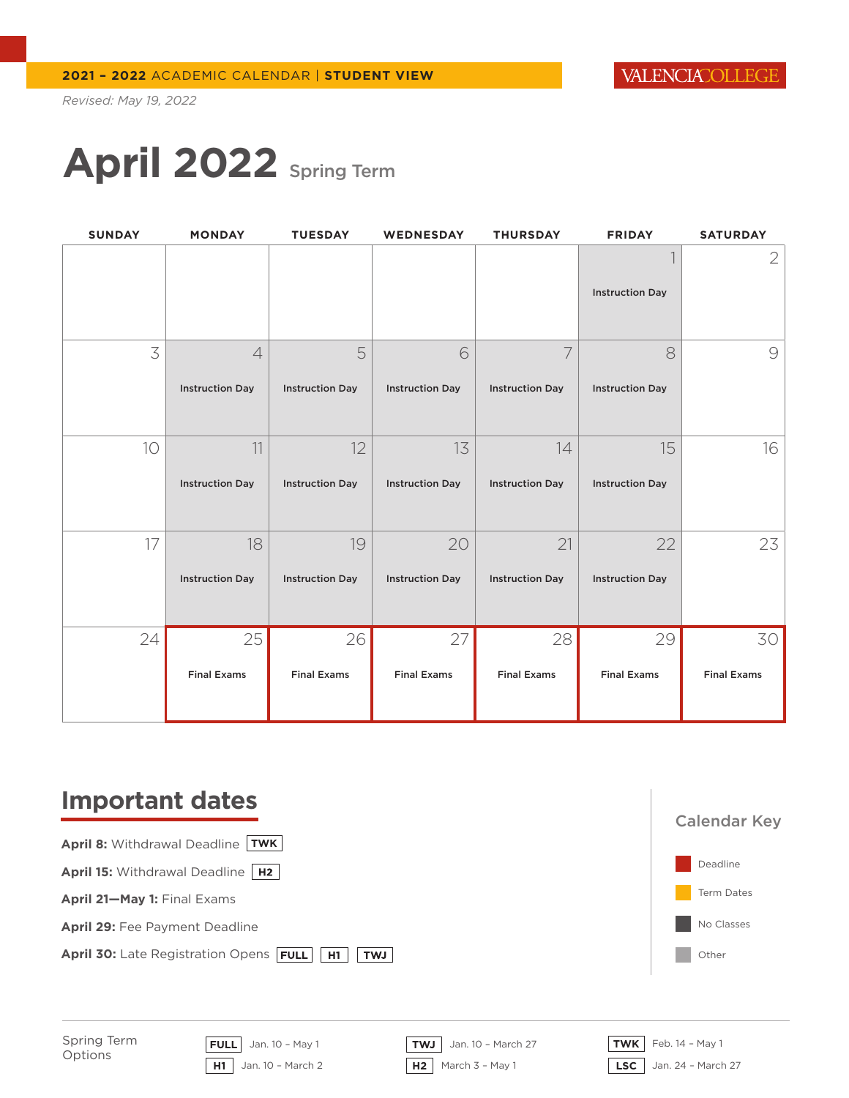# **April 2022** Spring Term

| <b>SUNDAY</b> | <b>MONDAY</b>          | <b>TUESDAY</b>         | WEDNESDAY              | <b>THURSDAY</b>        | <b>FRIDAY</b>          | <b>SATURDAY</b>    |
|---------------|------------------------|------------------------|------------------------|------------------------|------------------------|--------------------|
|               |                        |                        |                        |                        |                        | $\sqrt{2}$         |
|               |                        |                        |                        |                        | <b>Instruction Day</b> |                    |
| 3             | $\overline{4}$         | 5                      | 6                      | 7                      | 8                      | $\bigcirc$         |
|               | <b>Instruction Day</b> | <b>Instruction Day</b> | <b>Instruction Day</b> | <b>Instruction Day</b> | <b>Instruction Day</b> |                    |
| 10            | 11                     | 12                     | 13                     | 14                     | 15                     | 16                 |
|               | <b>Instruction Day</b> | <b>Instruction Day</b> | <b>Instruction Day</b> | <b>Instruction Day</b> | <b>Instruction Day</b> |                    |
| 17            | 18                     | 19                     | 20                     | 21                     | 22                     | 23                 |
|               | <b>Instruction Day</b> | <b>Instruction Day</b> | <b>Instruction Day</b> | <b>Instruction Day</b> | <b>Instruction Day</b> |                    |
| 24            | 25                     | 26                     | 27                     | 28                     | 29                     | 30                 |
|               | <b>Final Exams</b>     | <b>Final Exams</b>     | <b>Final Exams</b>     | <b>Final Exams</b>     | <b>Final Exams</b>     | <b>Final Exams</b> |

### **Important dates**





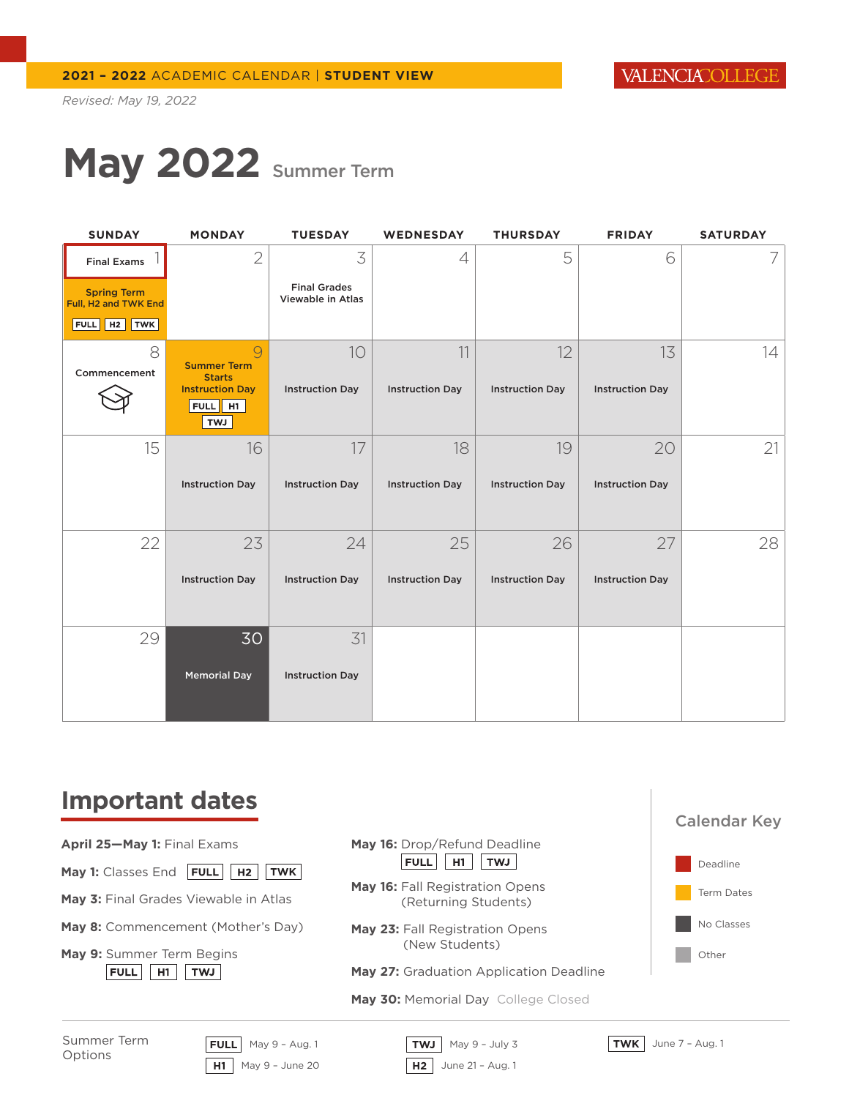# **May 2022** Summer Term

| <b>SUNDAY</b>                              | <b>MONDAY</b>                                               | <b>TUESDAY</b>                           | <b>WEDNESDAY</b>       | <b>THURSDAY</b>        | <b>FRIDAY</b>          | <b>SATURDAY</b> |
|--------------------------------------------|-------------------------------------------------------------|------------------------------------------|------------------------|------------------------|------------------------|-----------------|
| <b>Final Exams</b>                         | $\mathbf{2}$                                                | 3                                        | 4                      | 5                      | 6                      | 7               |
| <b>Spring Term</b><br>Full, H2 and TWK End |                                                             | <b>Final Grades</b><br>Viewable in Atlas |                        |                        |                        |                 |
| FULL   H2   TWK                            |                                                             |                                          |                        |                        |                        |                 |
| 8<br>Commencement                          | 9<br><b>Summer Term</b><br><b>Starts</b>                    | 10                                       | 11                     | 12                     | 13                     | 14              |
|                                            | <b>Instruction Day</b><br>FULL $\parallel$ H1<br><b>LWT</b> | <b>Instruction Day</b>                   | <b>Instruction Day</b> | <b>Instruction Day</b> | <b>Instruction Day</b> |                 |
| 15                                         | 16                                                          | 17                                       | 18                     | 19                     | 20                     | 21              |
|                                            | <b>Instruction Day</b>                                      | <b>Instruction Day</b>                   | <b>Instruction Day</b> | <b>Instruction Day</b> | <b>Instruction Day</b> |                 |
| 22                                         | 23                                                          | 24                                       | 25                     | 26                     | 27                     | 28              |
|                                            | <b>Instruction Day</b>                                      | <b>Instruction Day</b>                   | <b>Instruction Day</b> | <b>Instruction Day</b> | <b>Instruction Day</b> |                 |
| 29                                         | 30                                                          | 31                                       |                        |                        |                        |                 |
|                                            | <b>Memorial Day</b>                                         | <b>Instruction Day</b>                   |                        |                        |                        |                 |

### **Important dates**

- **April 25—May 1:** Final Exams
- **May 1:** Classes End **FULL** | **H2** | TWK |
- **May 3:** Final Grades Viewable in Atlas
- **May 8:** Commencement (Mother's Day)
- **May 9:** Summer Term Begins FULL H1 TWJ
- - **May 27:** Graduation Application Deadline
	- May 30: Memorial Day College Closed



**FULL** May 9 – Aug. 1 **TWJ** May 9 – July 3 **TWK** June 7 – Aug. 1



**May 16:** Drop/Refund Deadline FULL H1 TWJ **May 16: Fall Registration Opens** (Returning Students)

**May 23:** Fall Registration Opens (New Students)

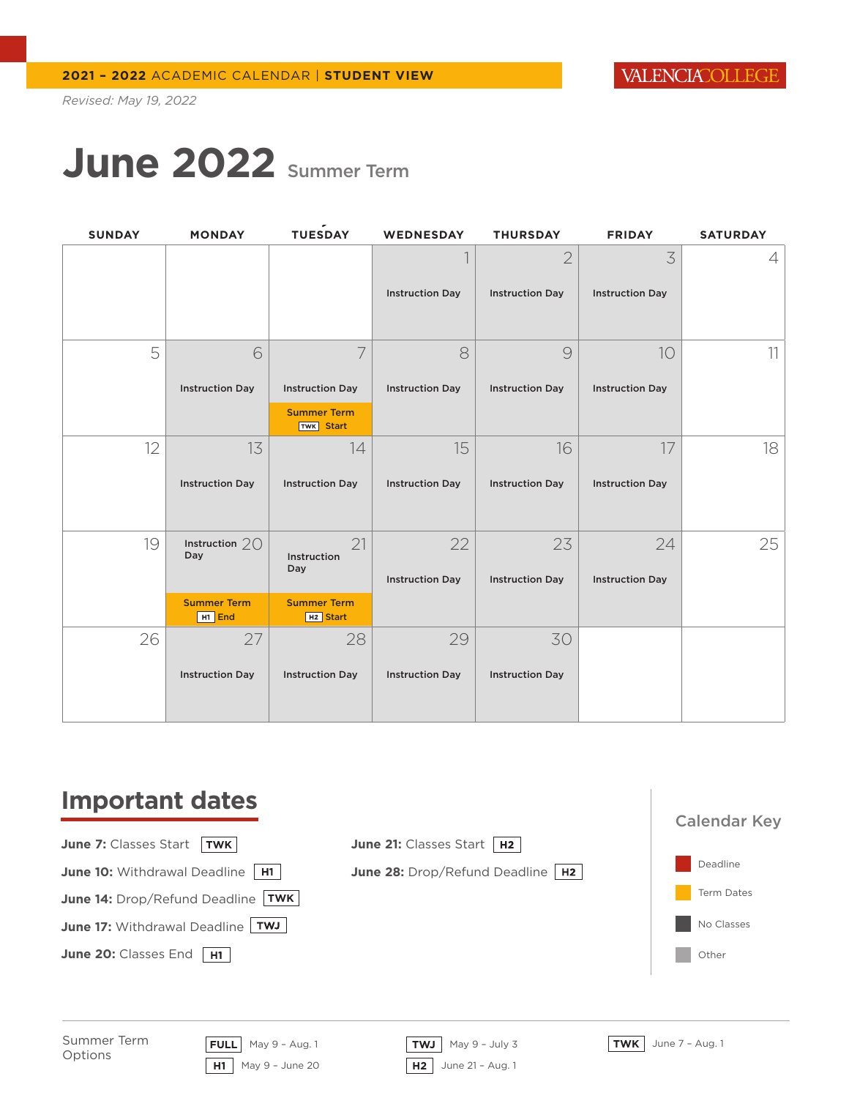VALENCIACOLLEGE

*Revised: May 19, 2022*

### **June 2022** Summer Term

| <b>SUNDAY</b> | <b>MONDAY</b>                            | TUESDAY                                    | <b>WEDNESDAY</b>       | <b>THURSDAY</b>        | <b>FRIDAY</b>          | <b>SATURDAY</b> |
|---------------|------------------------------------------|--------------------------------------------|------------------------|------------------------|------------------------|-----------------|
|               |                                          |                                            |                        | $\overline{2}$         | 3                      | 4               |
|               |                                          |                                            | <b>Instruction Day</b> | <b>Instruction Day</b> | <b>Instruction Day</b> |                 |
| 5             | 6                                        | 7                                          | 8                      | 9                      | 10                     | 11              |
|               | <b>Instruction Day</b>                   | <b>Instruction Day</b>                     | <b>Instruction Day</b> | <b>Instruction Day</b> | <b>Instruction Day</b> |                 |
|               |                                          | <b>Summer Term</b><br><b>TWK</b> Start     |                        |                        |                        |                 |
| 12            | 13                                       | 14                                         | 15                     | 16                     | 17                     | 18              |
|               | <b>Instruction Day</b>                   | <b>Instruction Day</b>                     | <b>Instruction Day</b> | <b>Instruction Day</b> | <b>Instruction Day</b> |                 |
| 19            | Instruction $20$<br>Day                  | 21<br>Instruction<br>Day                   | 22                     | 23                     | 24                     | 25              |
|               |                                          |                                            | <b>Instruction Day</b> | <b>Instruction Day</b> | <b>Instruction Day</b> |                 |
|               | <b>Summer Term</b><br>H <sub>1</sub> End | <b>Summer Term</b><br>H <sub>2</sub> Start |                        |                        |                        |                 |
| 26            | 27                                       | 28                                         | 29                     | 30                     |                        |                 |
|               | <b>Instruction Day</b>                   | <b>Instruction Day</b>                     | <b>Instruction Day</b> | <b>Instruction Day</b> |                        |                 |

### **Important dates**

**June 7:** Classes Start | TWK **June 10:** Withdrawal Deadline H1 **June 14:** Drop/Refund Deadline TWK

**June 17: Withdrawal Deadline TWJ** 

June 20: Classes End H1





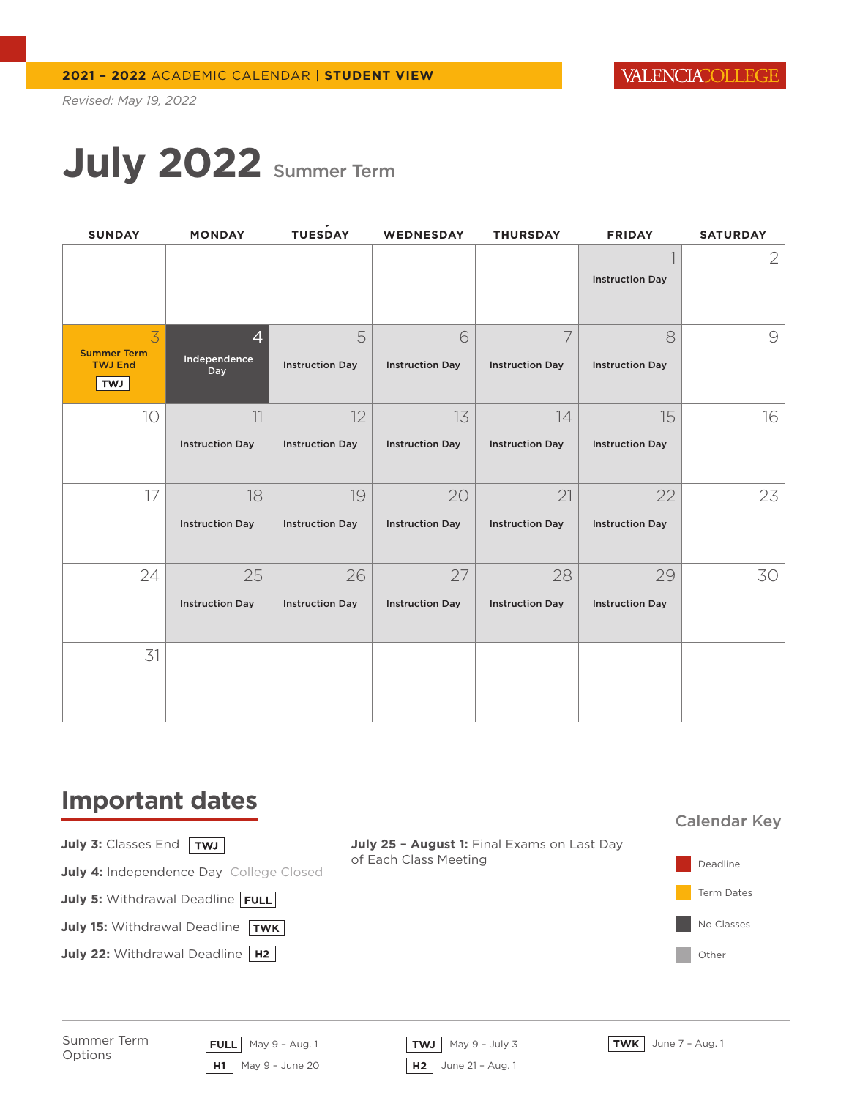# **July 2022** Summer Term

| <b>SUNDAY</b>                | <b>MONDAY</b>          | TUESDAY                | <b>WEDNESDAY</b>       | <b>THURSDAY</b>        | <b>FRIDAY</b>          | <b>SATURDAY</b> |
|------------------------------|------------------------|------------------------|------------------------|------------------------|------------------------|-----------------|
|                              |                        |                        |                        |                        |                        | $\mathbf{2}$    |
|                              |                        |                        |                        |                        | <b>Instruction Day</b> |                 |
| 3<br><b>Summer Term</b>      | $\overline{4}$         | 5                      | 6                      | 7                      | 8                      | $\mathcal{Q}$   |
| <b>TWJ End</b><br><b>TWJ</b> | Independence<br>Day    | <b>Instruction Day</b> | <b>Instruction Day</b> | <b>Instruction Day</b> | <b>Instruction Day</b> |                 |
| 10                           | 11                     | 12                     | 13                     | 14                     | 15                     | 16              |
|                              | <b>Instruction Day</b> | <b>Instruction Day</b> | <b>Instruction Day</b> | <b>Instruction Day</b> | <b>Instruction Day</b> |                 |
| 17                           | 18                     | 19                     | 20                     | 21                     | 22                     | 23              |
|                              | <b>Instruction Day</b> | <b>Instruction Day</b> | <b>Instruction Day</b> | <b>Instruction Day</b> | <b>Instruction Day</b> |                 |
| 24                           | 25                     | 26                     | 27                     | 28                     | 29                     | 30              |
|                              | <b>Instruction Day</b> | <b>Instruction Day</b> | <b>Instruction Day</b> | <b>Instruction Day</b> | <b>Instruction Day</b> |                 |
| 31                           |                        |                        |                        |                        |                        |                 |
|                              |                        |                        |                        |                        |                        |                 |

### **Important dates**

**July 3: Classes End TWJ** 

**July 4: Independence Day College Closed** 

**July 5: Withdrawal Deadline FULL** 

**July 15:** Withdrawal Deadline | TWK

**July 22: Withdrawal Deadline | H2 |** 

July 25 - August 1: Final Exams on Last Day of Each Class Meeting





Summer Term Options

**FULL** May 9 – Aug. 1 **TWJ** May 9 – July 3 **TWK** June 7 – Aug. 1 **H1** May 9 – June 20 **H2** June 21 – Aug. 1